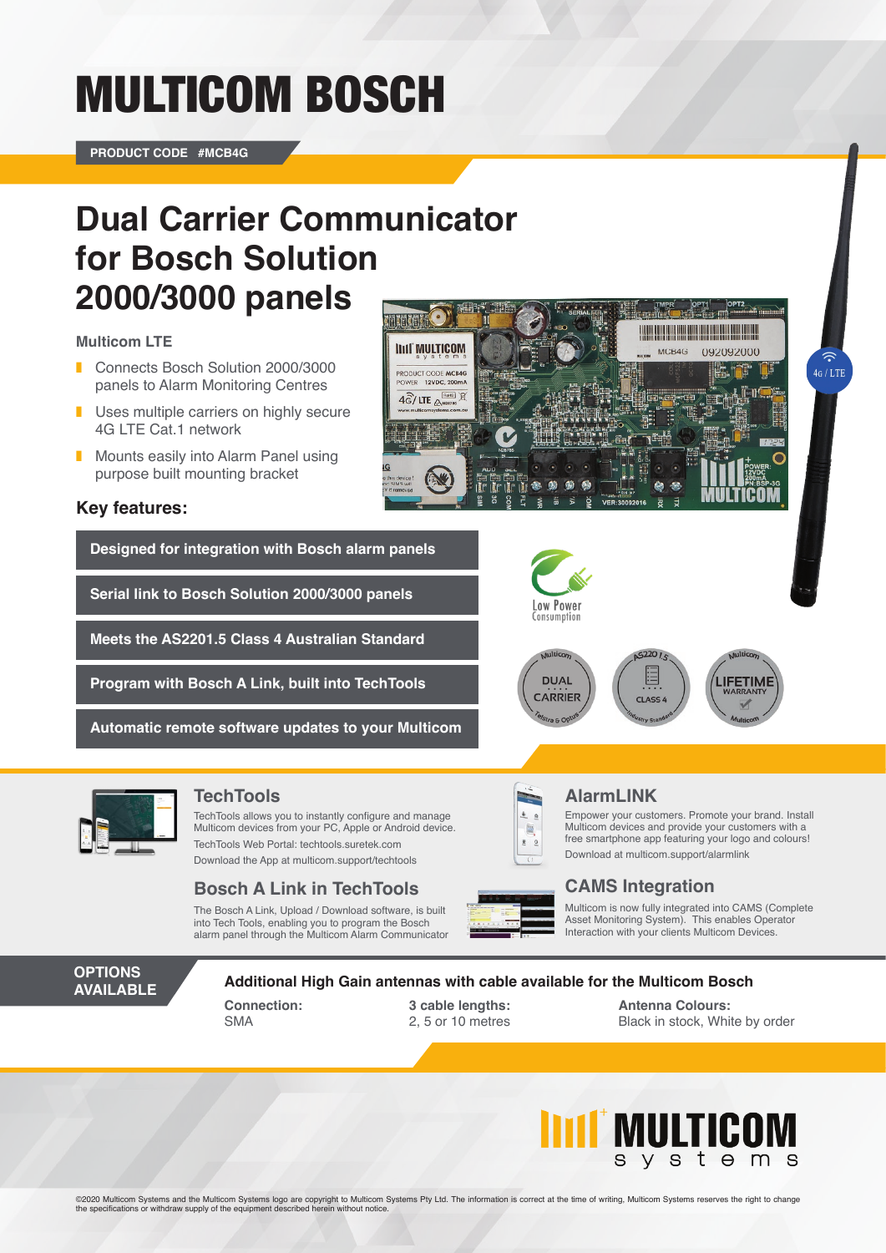# MULTICOM BOSCH

**PRODUCT CODE #MCB4G**

## **Dual Carrier Communicator for Bosch Solution 2000/3000 panels**

**IIIII** MULTICOM

PRODUCT CODE MCB4G 12VDC, 200mA  $4\overline{\widehat{G}}/$  LTE  $\overline{\mathbb{A}^{\text{mass}}}$ 

#### **Multicom LTE**

- ❚ Connects Bosch Solution 2000/3000 panels to Alarm Monitoring Centres
- Uses multiple carriers on highly secure 4G LTE Cat.1 network
- Mounts easily into Alarm Panel using purpose built mounting bracket

#### **Key features:**

**Designed for integration with Bosch alarm panels**

**Serial link to Bosch Solution 2000/3000 panels** 

**Meets the AS2201.5 Class 4 Australian Standard**

**Program with Bosch A Link, built into TechTools**

**Automatic remote software updates to your Multicom**



TechTools allows you to instantly configure and manage Multicom devices from your PC, Apple or Android device. TechTools Web Portal: techtools.suretek.com

Download the App at multicom.support/techtools

### **Bosch A Link in TechTools CAMS Integration**

The Bosch A Link, Upload / Download software, is built into Tech Tools, enabling you to program the Bosch alarm panel through the Multicom Alarm Communicator



两

### **TechTools AlarmLINK**

Low Power Consumption

**DUAL** 

**CARRIER** 

Empower your customers. Promote your brand. Install Multicom devices and provide your customers with a free smartphone app featuring your logo and colours! Download at multicom.support/alarmlink

<u> La Carlo de la Carlo de la Carlo de la Carlo de la Carlo de la Carlo de la Carlo de la Carlo de la Carlo de l</u>

092092000 h, tî

**IFFTIM** 

 $4G/LTI$ 

 $MC$ :B4G

 $5220$ 

CLASS.

Multicom is now fully integrated into CAMS (Complete Asset Monitoring System). This enables Operator Interaction with your clients Multicom Devices.

**OPTIONS AVAILABLE**

**Additional High Gain antennas with cable available for the Multicom Bosch**

**Connection:** SMA

**3 cable lengths:** 2, 5 or 10 metres

**Antenna Colours:** Black in stock, White by order